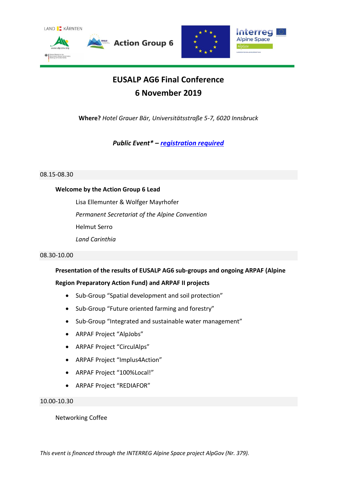



## **EUSALP AG6 Final Conference 6 November 2019**

**Where?** *Hotel Grauer Bär, Universitätsstraße 5-7, 6020 Innsbruck*

*Public Event\* – [registration required](https://www.alpconv.org/en/home/projects/eusalp-action-group-6/eusalp-ag6-registration/)*

#### 08.15-08.30

## **Welcome by the Action Group 6 Lead**

Lisa Ellemunter & Wolfger Mayrhofer *Permanent Secretariat of the Alpine Convention* Helmut Serro *Land Carinthia*

#### 08.30-10.00

## **Presentation of the results of EUSALP AG6 sub-groups and ongoing ARPAF (Alpine**

## **Region Preparatory Action Fund) and ARPAF II projects**

- Sub-Group "Spatial development and soil protection"
- Sub-Group "Future oriented farming and forestry"
- Sub-Group "Integrated and sustainable water management"
- ARPAF Project "AlpJobs"
- ARPAF Project "CirculAlps"
- ARPAF Project "Implus4Action"
- ARPAF Project "100%Local!"
- ARPAF Project "REDIAFOR"

#### 10.00-10.30

#### Networking Coffee